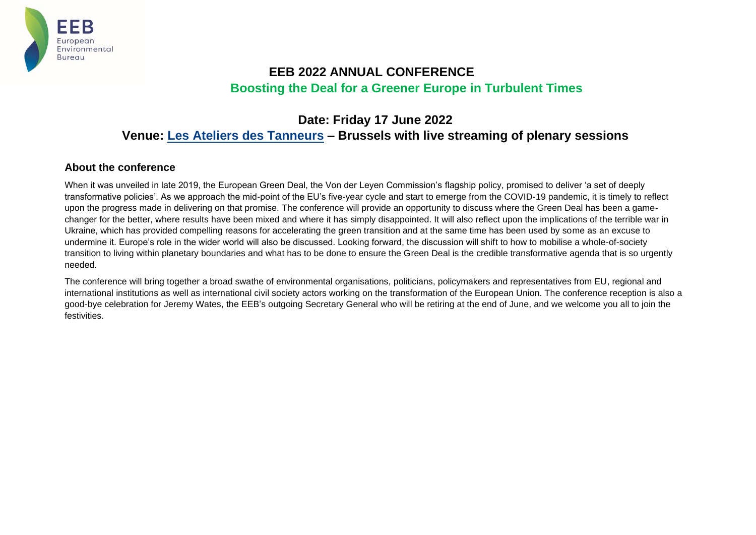

# **EEB 2022 ANNUAL CONFERENCE Boosting the Deal for a Greener Europe in Turbulent Times**

# **Date: Friday 17 June 2022 Venue: [Les Ateliers des Tanneurs](https://www.ateliersdestanneurs.be/) – Brussels with live streaming of plenary sessions**

### **About the conference**

When it was unveiled in late 2019, the European Green Deal, the Von der Leyen Commission's flagship policy, promised to deliver 'a set of deeply transformative policies'. As we approach the mid-point of the EU's five-year cycle and start to emerge from the COVID-19 pandemic, it is timely to reflect upon the progress made in delivering on that promise. The conference will provide an opportunity to discuss where the Green Deal has been a gamechanger for the better, where results have been mixed and where it has simply disappointed. It will also reflect upon the implications of the terrible war in Ukraine, which has provided compelling reasons for accelerating the green transition and at the same time has been used by some as an excuse to undermine it. Europe's role in the wider world will also be discussed. Looking forward, the discussion will shift to how to mobilise a whole-of-society transition to living within planetary boundaries and what has to be done to ensure the Green Deal is the credible transformative agenda that is so urgently needed.

The conference will bring together a broad swathe of environmental organisations, politicians, policymakers and representatives from EU, regional and international institutions as well as international civil society actors working on the transformation of the European Union. The conference reception is also a good-bye celebration for Jeremy Wates, the EEB's outgoing Secretary General who will be retiring at the end of June, and we welcome you all to join the festivities.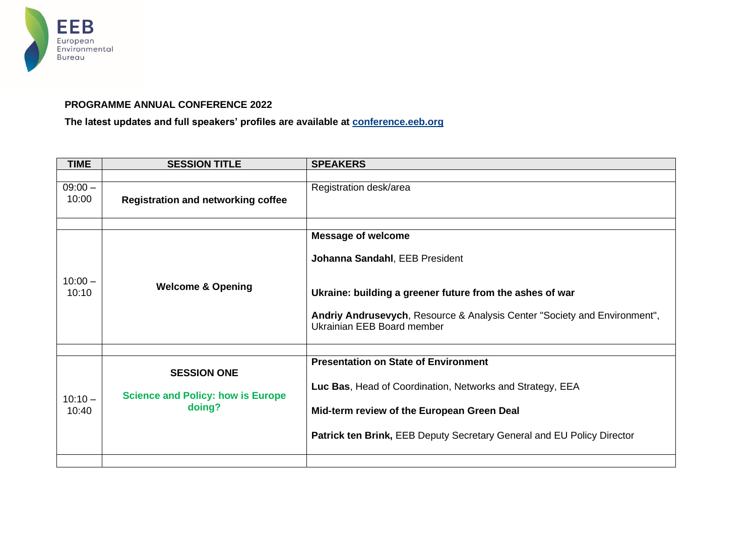

## **PROGRAMME ANNUAL CONFERENCE 2022**

**The latest updates and full speakers' profiles are available at [conference.eeb.org](https://conference.eeb.org/)**

| <b>TIME</b>        | <b>SESSION TITLE</b>                               | <b>SPEAKERS</b>                                                                                         |
|--------------------|----------------------------------------------------|---------------------------------------------------------------------------------------------------------|
|                    |                                                    |                                                                                                         |
| $09:00 -$<br>10:00 | <b>Registration and networking coffee</b>          | Registration desk/area                                                                                  |
|                    |                                                    |                                                                                                         |
|                    |                                                    | <b>Message of welcome</b>                                                                               |
| $10:00 -$<br>10:10 | <b>Welcome &amp; Opening</b>                       | Johanna Sandahl, EEB President                                                                          |
|                    |                                                    | Ukraine: building a greener future from the ashes of war                                                |
|                    |                                                    | Andriy Andrusevych, Resource & Analysis Center "Society and Environment",<br>Ukrainian EEB Board member |
|                    |                                                    |                                                                                                         |
|                    | <b>SESSION ONE</b>                                 | <b>Presentation on State of Environment</b>                                                             |
| $10:10 -$<br>10:40 | <b>Science and Policy: how is Europe</b><br>doing? | Luc Bas, Head of Coordination, Networks and Strategy, EEA                                               |
|                    |                                                    | Mid-term review of the European Green Deal                                                              |
|                    |                                                    | Patrick ten Brink, EEB Deputy Secretary General and EU Policy Director                                  |
|                    |                                                    |                                                                                                         |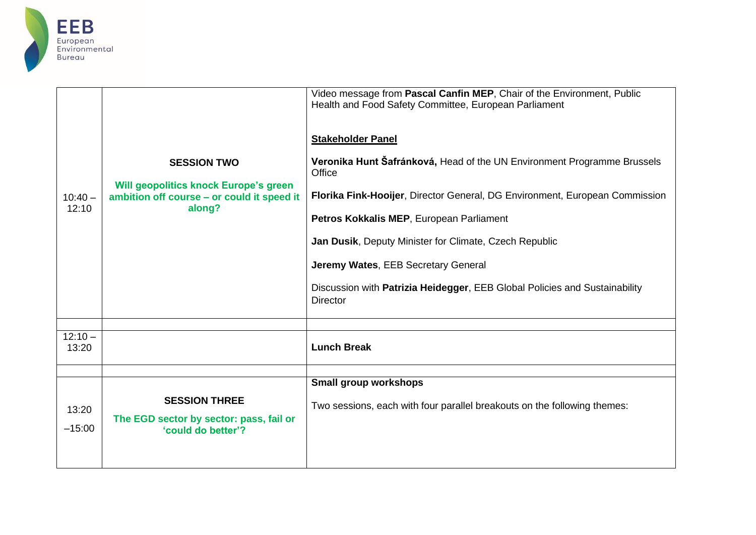

|                    |                                                                                                                            | Video message from Pascal Canfin MEP, Chair of the Environment, Public<br>Health and Food Safety Committee, European Parliament |
|--------------------|----------------------------------------------------------------------------------------------------------------------------|---------------------------------------------------------------------------------------------------------------------------------|
|                    |                                                                                                                            | <b>Stakeholder Panel</b>                                                                                                        |
| $10:40 -$          | <b>SESSION TWO</b><br><b>Will geopolitics knock Europe's green</b><br>ambition off course - or could it speed it<br>along? | Veronika Hunt Šafránková, Head of the UN Environment Programme Brussels<br>Office                                               |
|                    |                                                                                                                            | Florika Fink-Hooijer, Director General, DG Environment, European Commission                                                     |
| 12:10              |                                                                                                                            | Petros Kokkalis MEP, European Parliament                                                                                        |
|                    |                                                                                                                            | Jan Dusik, Deputy Minister for Climate, Czech Republic                                                                          |
|                    |                                                                                                                            | Jeremy Wates, EEB Secretary General                                                                                             |
|                    |                                                                                                                            | Discussion with Patrizia Heidegger, EEB Global Policies and Sustainability<br><b>Director</b>                                   |
|                    |                                                                                                                            |                                                                                                                                 |
| $12:10 -$<br>13:20 |                                                                                                                            | <b>Lunch Break</b>                                                                                                              |
|                    |                                                                                                                            | Small group workshops                                                                                                           |
|                    |                                                                                                                            |                                                                                                                                 |
| 13:20              | <b>SESSION THREE</b>                                                                                                       | Two sessions, each with four parallel breakouts on the following themes:                                                        |
| $-15:00$           | The EGD sector by sector: pass, fail or<br>'could do better'?                                                              |                                                                                                                                 |
|                    |                                                                                                                            |                                                                                                                                 |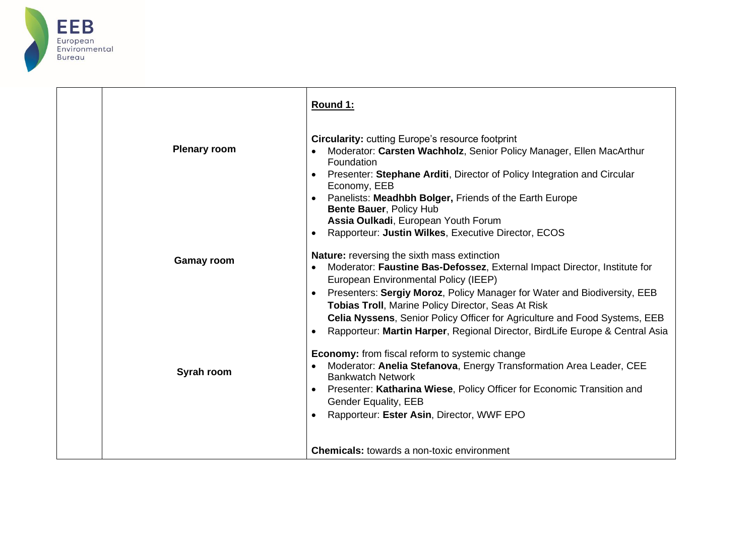

|                     | Round 1:                                                                                                                                                                                                                                                                                                                                                                                                                                                                |
|---------------------|-------------------------------------------------------------------------------------------------------------------------------------------------------------------------------------------------------------------------------------------------------------------------------------------------------------------------------------------------------------------------------------------------------------------------------------------------------------------------|
| <b>Plenary room</b> | <b>Circularity: cutting Europe's resource footprint</b><br>Moderator: Carsten Wachholz, Senior Policy Manager, Ellen MacArthur<br>Foundation<br>Presenter: Stephane Arditi, Director of Policy Integration and Circular<br>$\bullet$<br>Economy, EEB<br>Panelists: Meadhbh Bolger, Friends of the Earth Europe<br>Bente Bauer, Policy Hub                                                                                                                               |
|                     | Assia Oulkadi, European Youth Forum<br>Rapporteur: Justin Wilkes, Executive Director, ECOS<br>$\bullet$                                                                                                                                                                                                                                                                                                                                                                 |
| <b>Gamay room</b>   | <b>Nature:</b> reversing the sixth mass extinction<br>Moderator: Faustine Bas-Defossez, External Impact Director, Institute for<br>European Environmental Policy (IEEP)<br>Presenters: Sergiy Moroz, Policy Manager for Water and Biodiversity, EEB<br>Tobias Troll, Marine Policy Director, Seas At Risk<br>Celia Nyssens, Senior Policy Officer for Agriculture and Food Systems, EEB<br>Rapporteur: Martin Harper, Regional Director, BirdLife Europe & Central Asia |
| Syrah room          | <b>Economy:</b> from fiscal reform to systemic change<br>Moderator: Anelia Stefanova, Energy Transformation Area Leader, CEE<br><b>Bankwatch Network</b><br>Presenter: Katharina Wiese, Policy Officer for Economic Transition and<br><b>Gender Equality, EEB</b><br>Rapporteur: Ester Asin, Director, WWF EPO                                                                                                                                                          |
|                     | <b>Chemicals:</b> towards a non-toxic environment                                                                                                                                                                                                                                                                                                                                                                                                                       |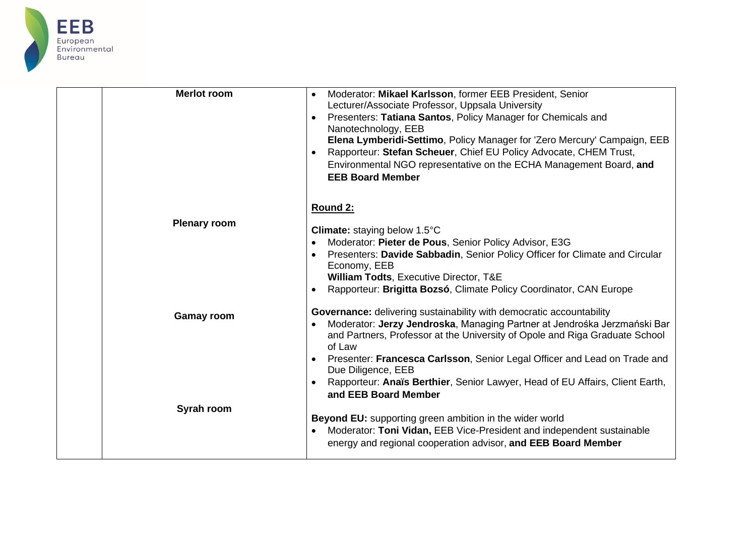

| <b>Merlot room</b>  | Moderator: Mikael Karlsson, former EEB President, Senior<br>Lecturer/Associate Professor, Uppsala University<br>Presenters: Tatiana Santos, Policy Manager for Chemicals and<br>Nanotechnology, EEB<br>Elena Lymberidi-Settimo, Policy Manager for 'Zero Mercury' Campaign, EEB<br>Rapporteur: Stefan Scheuer, Chief EU Policy Advocate, CHEM Trust,<br>Environmental NGO representative on the ECHA Management Board, and<br><b>EEB Board Member</b> |
|---------------------|-------------------------------------------------------------------------------------------------------------------------------------------------------------------------------------------------------------------------------------------------------------------------------------------------------------------------------------------------------------------------------------------------------------------------------------------------------|
| <b>Plenary room</b> | Round 2:<br>Climate: staying below 1.5°C<br>Moderator: Pieter de Pous, Senior Policy Advisor, E3G<br>Presenters: Davide Sabbadin, Senior Policy Officer for Climate and Circular<br>Economy, EEB<br><b>William Todts, Executive Director, T&amp;E</b>                                                                                                                                                                                                 |
| <b>Gamay room</b>   | Rapporteur: Brigitta Bozsó, Climate Policy Coordinator, CAN Europe<br>Governance: delivering sustainability with democratic accountability<br>Moderator: Jerzy Jendroska, Managing Partner at Jendrośka Jerzmański Bar<br>$\bullet$<br>and Partners, Professor at the University of Opole and Riga Graduate School<br>of Law<br>Presenter: Francesca Carlsson, Senior Legal Officer and Lead on Trade and                                             |
| Syrah room          | Due Diligence, EEB<br>Rapporteur: Anaïs Berthier, Senior Lawyer, Head of EU Affairs, Client Earth,<br>and EEB Board Member<br><b>Beyond EU:</b> supporting green ambition in the wider world<br>Moderator: Toni Vidan, EEB Vice-President and independent sustainable<br>energy and regional cooperation advisor, and EEB Board Member                                                                                                                |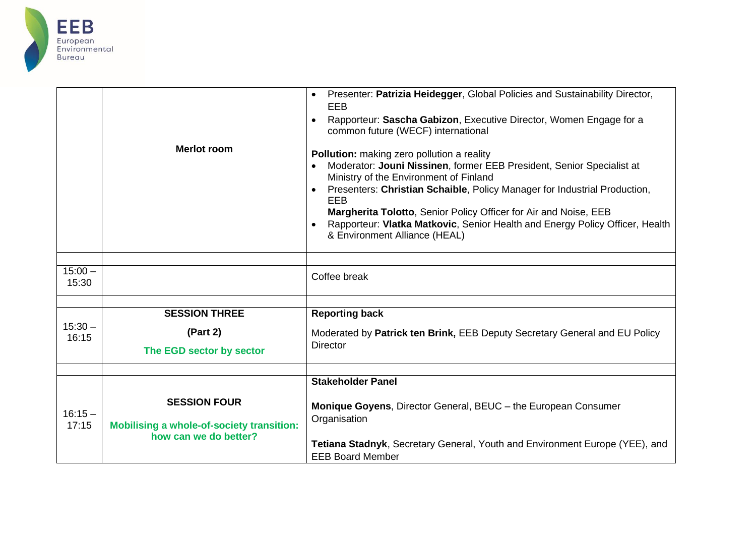

|                    |                                                                                                  | Presenter: Patrizia Heidegger, Global Policies and Sustainability Director,<br>EEB<br>Rapporteur: Sascha Gabizon, Executive Director, Women Engage for a<br>common future (WECF) international                                                                                                                                                                                                                                         |
|--------------------|--------------------------------------------------------------------------------------------------|----------------------------------------------------------------------------------------------------------------------------------------------------------------------------------------------------------------------------------------------------------------------------------------------------------------------------------------------------------------------------------------------------------------------------------------|
|                    | <b>Merlot room</b>                                                                               | Pollution: making zero pollution a reality<br>Moderator: Jouni Nissinen, former EEB President, Senior Specialist at<br>Ministry of the Environment of Finland<br>Presenters: Christian Schaible, Policy Manager for Industrial Production,<br>EEB<br>Margherita Tolotto, Senior Policy Officer for Air and Noise, EEB<br>Rapporteur: Vlatka Matkovic, Senior Health and Energy Policy Officer, Health<br>& Environment Alliance (HEAL) |
|                    |                                                                                                  |                                                                                                                                                                                                                                                                                                                                                                                                                                        |
| $15:00 -$<br>15:30 |                                                                                                  | Coffee break                                                                                                                                                                                                                                                                                                                                                                                                                           |
|                    |                                                                                                  |                                                                                                                                                                                                                                                                                                                                                                                                                                        |
|                    | <b>SESSION THREE</b>                                                                             | <b>Reporting back</b>                                                                                                                                                                                                                                                                                                                                                                                                                  |
| $15:30 -$<br>16:15 | (Part 2)                                                                                         | Moderated by Patrick ten Brink, EEB Deputy Secretary General and EU Policy<br><b>Director</b>                                                                                                                                                                                                                                                                                                                                          |
|                    | The EGD sector by sector                                                                         |                                                                                                                                                                                                                                                                                                                                                                                                                                        |
|                    |                                                                                                  |                                                                                                                                                                                                                                                                                                                                                                                                                                        |
|                    |                                                                                                  | <b>Stakeholder Panel</b>                                                                                                                                                                                                                                                                                                                                                                                                               |
| $16:15 -$<br>17:15 | <b>SESSION FOUR</b><br><b>Mobilising a whole-of-society transition:</b><br>how can we do better? | Monique Goyens, Director General, BEUC - the European Consumer<br>Organisation                                                                                                                                                                                                                                                                                                                                                         |
|                    |                                                                                                  | Tetiana Stadnyk, Secretary General, Youth and Environment Europe (YEE), and<br><b>EEB Board Member</b>                                                                                                                                                                                                                                                                                                                                 |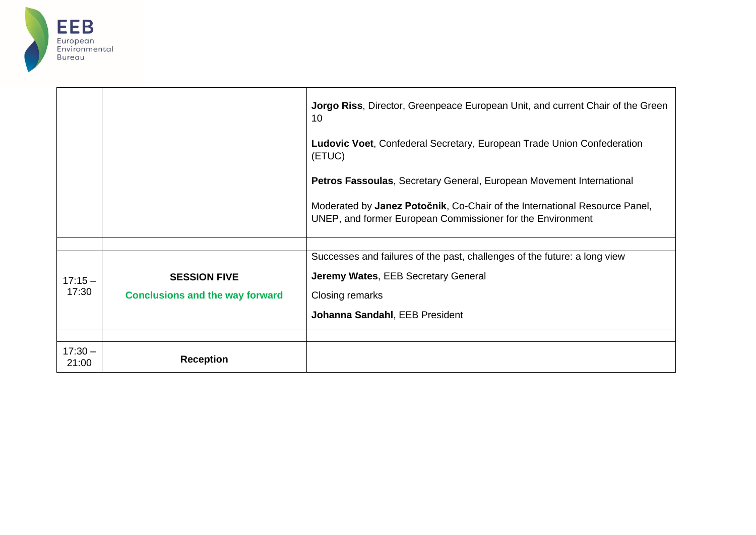

|                    |                                        | <b>Jorgo Riss, Director, Greenpeace European Unit, and current Chair of the Green</b><br>10                                              |
|--------------------|----------------------------------------|------------------------------------------------------------------------------------------------------------------------------------------|
|                    |                                        | Ludovic Voet, Confederal Secretary, European Trade Union Confederation<br>(ETUC)                                                         |
|                    |                                        | Petros Fassoulas, Secretary General, European Movement International                                                                     |
|                    |                                        | Moderated by Janez Potočnik, Co-Chair of the International Resource Panel,<br>UNEP, and former European Commissioner for the Environment |
|                    |                                        |                                                                                                                                          |
|                    |                                        | Successes and failures of the past, challenges of the future: a long view                                                                |
| $17:15 -$<br>17:30 | <b>SESSION FIVE</b>                    | Jeremy Wates, EEB Secretary General                                                                                                      |
|                    | <b>Conclusions and the way forward</b> | Closing remarks                                                                                                                          |
|                    |                                        | Johanna Sandahl, EEB President                                                                                                           |
|                    |                                        |                                                                                                                                          |
| $17:30 -$<br>21:00 | <b>Reception</b>                       |                                                                                                                                          |